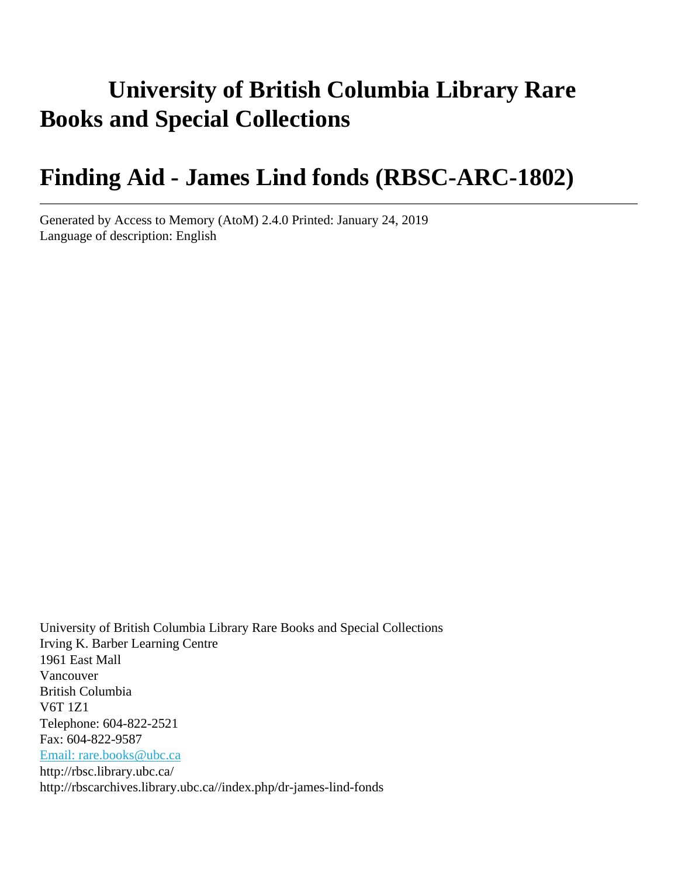# **University of British Columbia Library Rare Books and Special Collections**

# **Finding Aid - James Lind fonds (RBSC-ARC-1802)**

Generated by Access to Memory (AtoM) 2.4.0 Printed: January 24, 2019 Language of description: English

University of British Columbia Library Rare Books and Special Collections Irving K. Barber Learning Centre 1961 East Mall Vancouver British Columbia V6T 1Z1 Telephone: 604-822-2521 Fax: 604-822-9587 [Email: rare.books@ubc.ca](mailto:Email: rare.books@ubc.ca) http://rbsc.library.ubc.ca/ http://rbscarchives.library.ubc.ca//index.php/dr-james-lind-fonds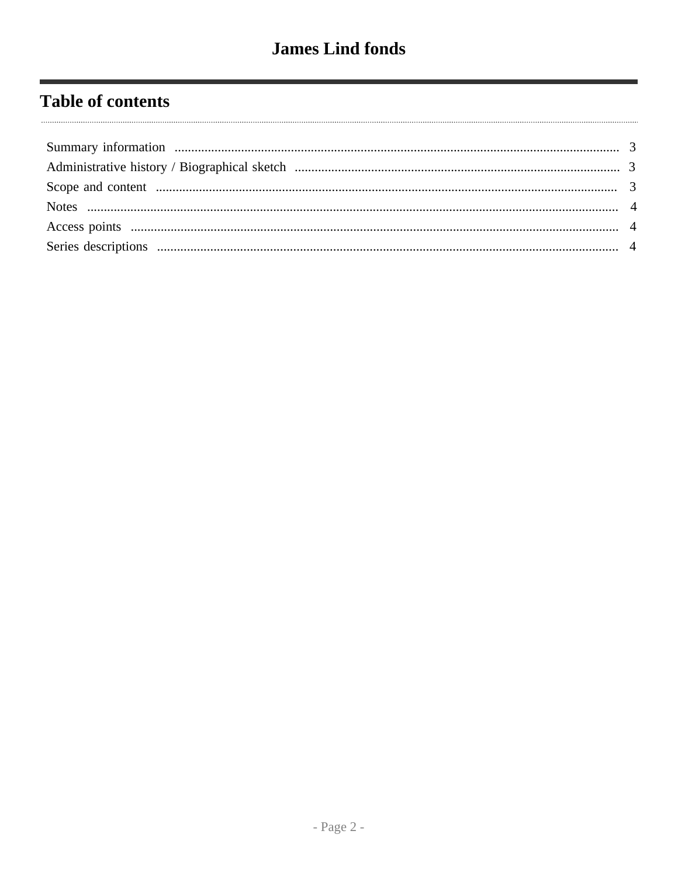# **Table of contents**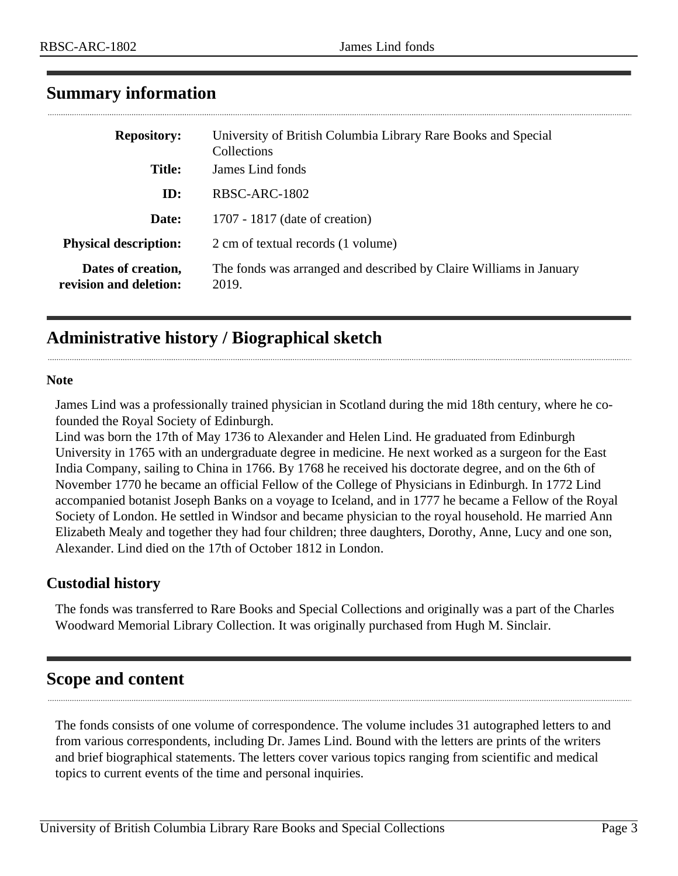| <b>Repository:</b>                           | University of British Columbia Library Rare Books and Special<br><b>Collections</b> |  |  |
|----------------------------------------------|-------------------------------------------------------------------------------------|--|--|
| <b>Title:</b>                                | James Lind fonds                                                                    |  |  |
| ID:                                          | RBSC-ARC-1802                                                                       |  |  |
| Date:                                        | 1707 - 1817 (date of creation)                                                      |  |  |
| <b>Physical description:</b>                 | 2 cm of textual records (1 volume)                                                  |  |  |
| Dates of creation,<br>revision and deletion: | The fonds was arranged and described by Claire Williams in January<br>2019.         |  |  |

## <span id="page-2-0"></span>**Summary information**

## <span id="page-2-1"></span>**Administrative history / Biographical sketch**

#### **Note**

James Lind was a professionally trained physician in Scotland during the mid 18th century, where he cofounded the Royal Society of Edinburgh.

Lind was born the 17th of May 1736 to Alexander and Helen Lind. He graduated from Edinburgh University in 1765 with an undergraduate degree in medicine. He next worked as a surgeon for the East India Company, sailing to China in 1766. By 1768 he received his doctorate degree, and on the 6th of November 1770 he became an official Fellow of the College of Physicians in Edinburgh. In 1772 Lind accompanied botanist Joseph Banks on a voyage to Iceland, and in 1777 he became a Fellow of the Royal Society of London. He settled in Windsor and became physician to the royal household. He married Ann Elizabeth Mealy and together they had four children; three daughters, Dorothy, Anne, Lucy and one son, Alexander. Lind died on the 17th of October 1812 in London.

#### **Custodial history**

The fonds was transferred to Rare Books and Special Collections and originally was a part of the Charles Woodward Memorial Library Collection. It was originally purchased from Hugh M. Sinclair.

## <span id="page-2-2"></span>**Scope and content**

The fonds consists of one volume of correspondence. The volume includes 31 autographed letters to and from various correspondents, including Dr. James Lind. Bound with the letters are prints of the writers and brief biographical statements. The letters cover various topics ranging from scientific and medical topics to current events of the time and personal inquiries.